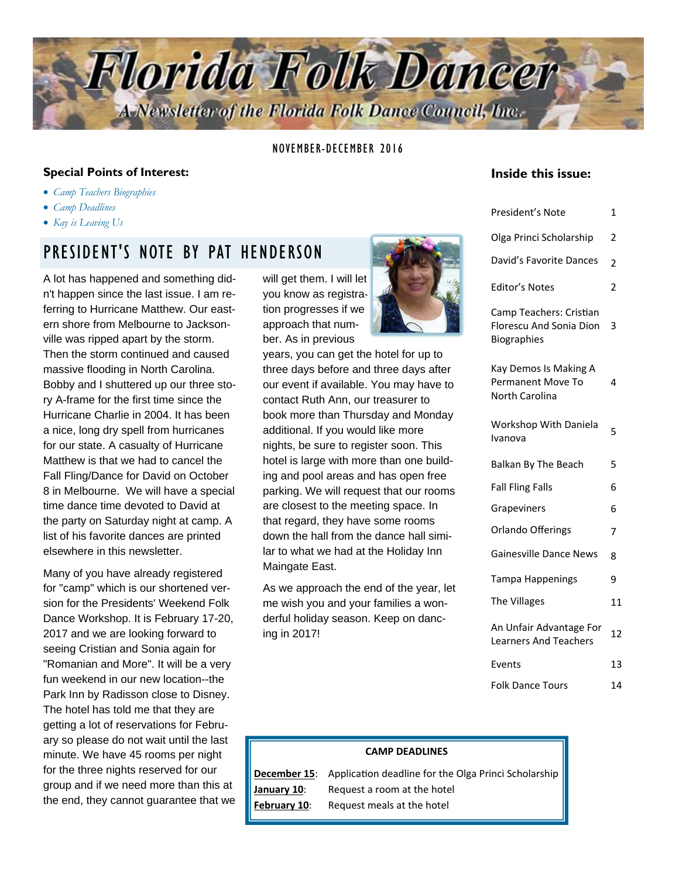

NOVEMBER-DECEMBER 2016

#### **Special Points of Interest:**

- *Camp Teachers Biographies*
- *Camp Deadlines*
- *Kay is Leaving Us*

#### PRESIDENT'S NOTE BY PAT HENDERSON

A lot has happened and something didn't happen since the last issue. I am referring to Hurricane Matthew. Our eastern shore from Melbourne to Jacksonville was ripped apart by the storm. Then the storm continued and caused massive flooding in North Carolina. Bobby and I shuttered up our three story A-frame for the first time since the Hurricane Charlie in 2004. It has been a nice, long dry spell from hurricanes for our state. A casualty of Hurricane Matthew is that we had to cancel the Fall Fling/Dance for David on October 8 in Melbourne. We will have a special time dance time devoted to David at the party on Saturday night at camp. A list of his favorite dances are printed elsewhere in this newsletter.

Many of you have already registered for "camp" which is our shortened version for the Presidents' Weekend Folk Dance Workshop. It is February 17-20, 2017 and we are looking forward to seeing Cristian and Sonia again for "Romanian and More". It will be a very fun weekend in our new location--the Park Inn by Radisson close to Disney. The hotel has told me that they are getting a lot of reservations for February so please do not wait until the last minute. We have 45 rooms per night for the three nights reserved for our group and if we need more than this at the end, they cannot guarantee that we will get them. I will let you know as registration progresses if we approach that number. As in previous

years, you can get the hotel for up to three days before and three days after our event if available. You may have to contact Ruth Ann, our treasurer to book more than Thursday and Monday additional. If you would like more nights, be sure to register soon. This hotel is large with more than one building and pool areas and has open free parking. We will request that our rooms are closest to the meeting space. In that regard, they have some rooms down the hall from the dance hall similar to what we had at the Holiday Inn Maingate East.

As we approach the end of the year, let me wish you and your families a wonderful holiday season. Keep on dancing in 2017!



#### **Inside this issue:**

President's Note 1

| Olga Princi Scholarship                                                  | 2  |
|--------------------------------------------------------------------------|----|
| David's Favorite Dances                                                  | 2  |
| <b>Editor's Notes</b>                                                    | 2  |
| Camp Teachers: Cristian<br>Florescu And Sonia Dion<br><b>Biographies</b> | 3  |
| Kay Demos Is Making A<br>Permanent Move To<br><b>North Carolina</b>      | 4  |
| Workshop With Daniela<br>Ivanova                                         | 5  |
| Balkan By The Beach                                                      | 5  |
| <b>Fall Fling Falls</b>                                                  | 6  |
| Grapeviners                                                              | 6  |
| Orlando Offerings                                                        | 7  |
| Gainesville Dance News                                                   | 8  |
| <b>Tampa Happenings</b>                                                  | 9  |
| The Villages                                                             | 11 |
| An Unfair Advantage For<br><b>Learners And Teachers</b>                  | 12 |
| Events                                                                   | 13 |
| <b>Folk Dance Tours</b>                                                  | 14 |

#### **CAMP DEADLINES**

**December 15:** Application deadline for the Olga Princi Scholarship **January 10:** Request a room at the hotel **February 10:** Request meals at the hotel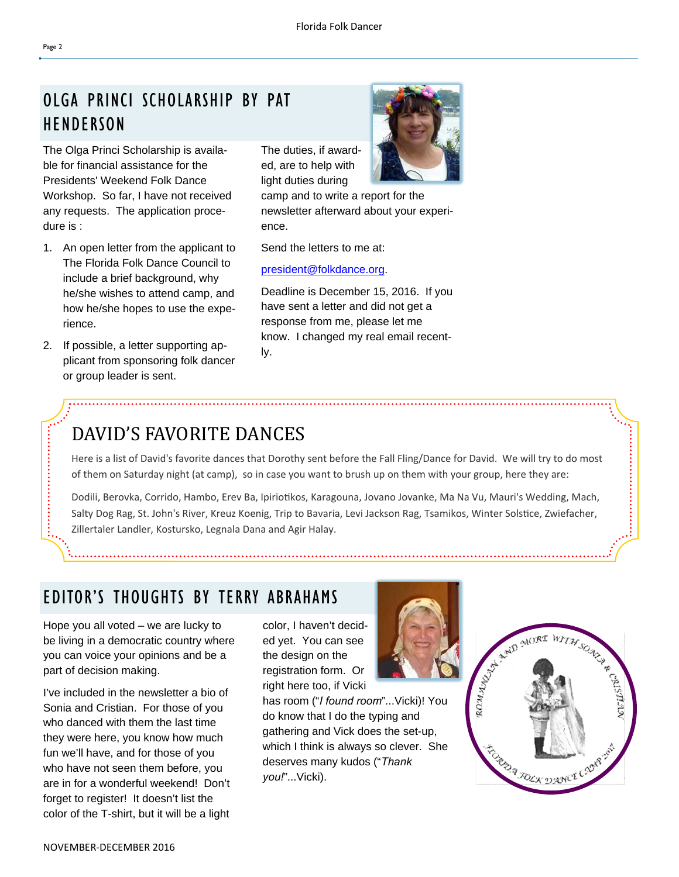# OLGA PRINCI SCHOLARSHIP BY PAT HENDERSON

The Olga Princi Scholarship is available for financial assistance for the Presidents' Weekend Folk Dance Workshop. So far, I have not received any requests. The application procedure is :

- 1. An open letter from the applicant to The Florida Folk Dance Council to include a brief background, why he/she wishes to attend camp, and how he/she hopes to use the experience.
- 2. If possible, a letter supporting applicant from sponsoring folk dancer or group leader is sent.

The duties, if awarded, are to help with light duties during

camp and to write a report for the newsletter afterward about your experience.

Send the letters to me at:

president@folkdance.org.

Deadline is December 15, 2016. If you have sent a letter and did not get a response from me, please let me know. I changed my real email recently.

# DAVID'S FAVORITE DANCES

Here is a list of David's favorite dances that Dorothy sent before the Fall Fling/Dance for David. We will try to do most of them on Saturday night (at camp), so in case you want to brush up on them with your group, here they are:

Dodili, Berovka, Corrido, Hambo, Erev Ba, Ipiriotikos, Karagouna, Jovano Jovanke, Ma Na Vu, Mauri's Wedding, Mach, Salty Dog Rag, St. John's River, Kreuz Koenig, Trip to Bavaria, Levi Jackson Rag, Tsamikos, Winter Solstice, Zwiefacher, Zillertaler Landler, Kostursko, Legnala Dana and Agir Halay.

# EDITOR'S THOUGHTS BY TERRY ABRAHAMS

Hope you all voted – we are lucky to be living in a democratic country where you can voice your opinions and be a part of decision making.

I've included in the newsletter a bio of Sonia and Cristian. For those of you who danced with them the last time they were here, you know how much fun we'll have, and for those of you who have not seen them before, you are in for a wonderful weekend! Don't forget to register! It doesn't list the color of the T-shirt, but it will be a light

color, I haven't decided yet. You can see the design on the registration form. Or right here too, if Vicki

has room ("*I found room*"...Vicki)! You do know that I do the typing and gathering and Vick does the set-up, which I think is always so clever. She deserves many kudos ("*Thank you!*"...Vicki).



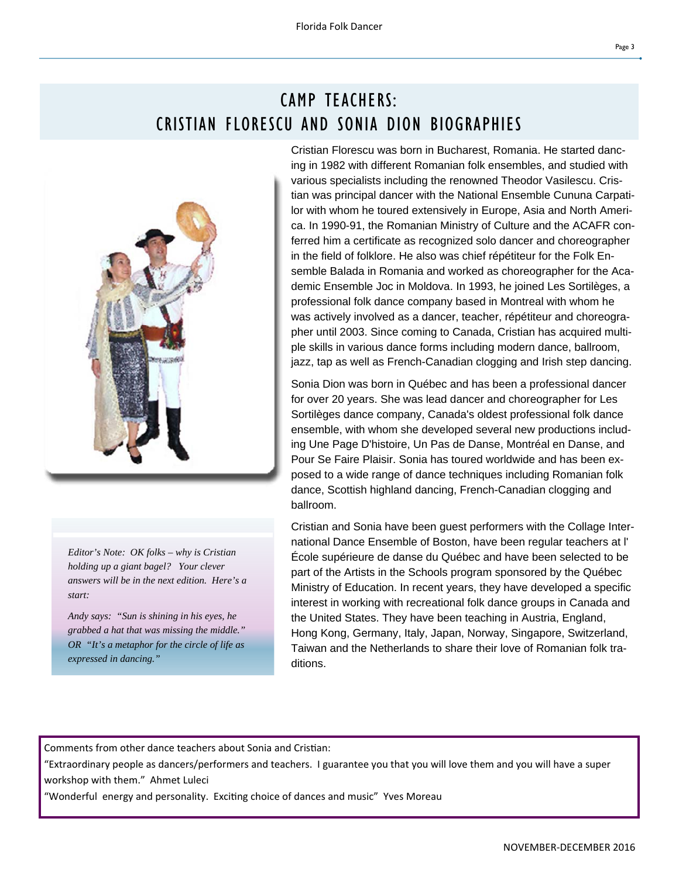## CAMP TEACHERS: CRISTIAN FLORESCU AND SONIA DION BIOGRAPHIES



*Editor's Note: OK folks – why is Cristian holding up a giant bagel? Your clever answers will be in the next edition. Here's a start:* 

*Andy says: "Sun is shining in his eyes, he grabbed a hat that was missing the middle." OR "It's a metaphor for the circle of life as expressed in dancing."* 

Cristian Florescu was born in Bucharest, Romania. He started dancing in 1982 with different Romanian folk ensembles, and studied with various specialists including the renowned Theodor Vasilescu. Cristian was principal dancer with the National Ensemble Cununa Carpatilor with whom he toured extensively in Europe, Asia and North America. In 1990-91, the Romanian Ministry of Culture and the ACAFR conferred him a certificate as recognized solo dancer and choreographer in the field of folklore. He also was chief répétiteur for the Folk Ensemble Balada in Romania and worked as choreographer for the Academic Ensemble Joc in Moldova. In 1993, he joined Les Sortilèges, a professional folk dance company based in Montreal with whom he was actively involved as a dancer, teacher, répétiteur and choreographer until 2003. Since coming to Canada, Cristian has acquired multiple skills in various dance forms including modern dance, ballroom, jazz, tap as well as French-Canadian clogging and Irish step dancing.

Sonia Dion was born in Québec and has been a professional dancer for over 20 years. She was lead dancer and choreographer for Les Sortilèges dance company, Canada's oldest professional folk dance ensemble, with whom she developed several new productions including Une Page D'histoire, Un Pas de Danse, Montréal en Danse, and Pour Se Faire Plaisir. Sonia has toured worldwide and has been exposed to a wide range of dance techniques including Romanian folk dance, Scottish highland dancing, French-Canadian clogging and ballroom.

Cristian and Sonia have been guest performers with the Collage International Dance Ensemble of Boston, have been regular teachers at l' École supérieure de danse du Québec and have been selected to be part of the Artists in the Schools program sponsored by the Québec Ministry of Education. In recent years, they have developed a specific interest in working with recreational folk dance groups in Canada and the United States. They have been teaching in Austria, England, Hong Kong, Germany, Italy, Japan, Norway, Singapore, Switzerland, Taiwan and the Netherlands to share their love of Romanian folk traditions.

Comments from other dance teachers about Sonia and Cristian:

"Extraordinary people as dancers/performers and teachers. I guarantee you that you will love them and you will have a super workshop with them." Ahmet Luleci

"Wonderful energy and personality. Exciting choice of dances and music" Yves Moreau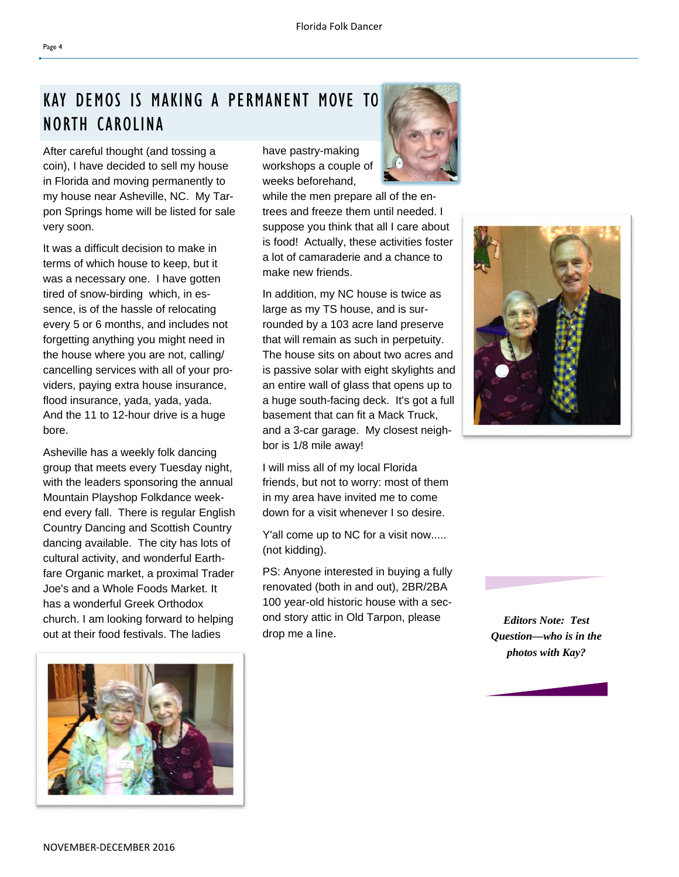## KAY DEMOS IS MAKING A PERMANENT MOVE TO NORTH CAROLINA

After careful thought (and tossing a coin), I have decided to sell my house in Florida and moving permanently to my house near Asheville, NC. My Tarpon Springs home will be listed for sale very soon.

It was a difficult decision to make in terms of which house to keep, but it was a necessary one. I have gotten tired of snow-birding which, in essence, is of the hassle of relocating every 5 or 6 months, and includes not forgetting anything you might need in the house where you are not, calling/ cancelling services with all of your providers, paying extra house insurance, flood insurance, yada, yada, yada. And the 11 to 12-hour drive is a huge bore.

Asheville has a weekly folk dancing group that meets every Tuesday night, with the leaders sponsoring the annual Mountain Playshop Folkdance weekend every fall. There is regular English Country Dancing and Scottish Country dancing available. The city has lots of cultural activity, and wonderful Earthfare Organic market, a proximal Trader Joe's and a Whole Foods Market. It has a wonderful Greek Orthodox church. I am looking forward to helping out at their food festivals. The ladies



have pastry-making workshops a couple of weeks beforehand,

while the men prepare all of the entrees and freeze them until needed. I suppose you think that all I care about is food! Actually, these activities foster a lot of camaraderie and a chance to make new friends.

In addition, my NC house is twice as large as my TS house, and is surrounded by a 103 acre land preserve that will remain as such in perpetuity. The house sits on about two acres and is passive solar with eight skylights and an entire wall of glass that opens up to a huge south-facing deck. It's got a full basement that can fit a Mack Truck, and a 3-car garage. My closest neighbor is 1/8 mile away!

I will miss all of my local Florida friends, but not to worry: most of them in my area have invited me to come down for a visit whenever I so desire.

Y'all come up to NC for a visit now..... (not kidding).

PS: Anyone interested in buying a fully renovated (both in and out), 2BR/2BA 100 year-old historic house with a second story attic in Old Tarpon, please drop me a line.





*Editors Note: Test Question—who is in the photos with Kay?*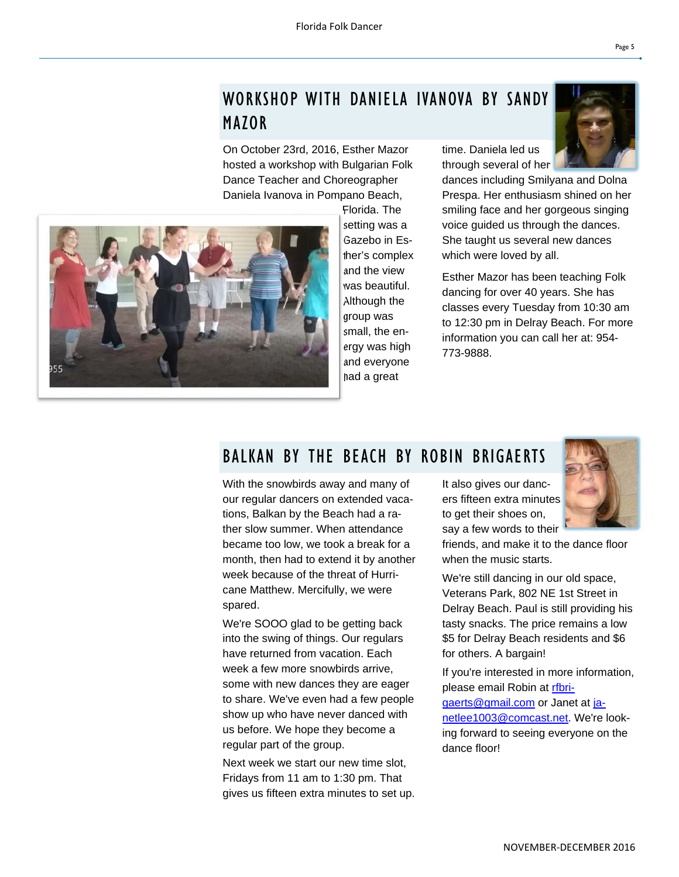## WORKSHOP WITH DANIELA IVANOVA BY SANDY MAZOR

On October 23rd, 2016, Esther Mazor hosted a workshop with Bulgarian Folk Dance Teacher and Choreographer Daniela Ivanova in Pompano Beach,



Florida. The setting was a Gazebo in Esther's complex and the view was beautiful. Although the group was small, the energy was high and everyone had a great

time. Daniela led us through several of her

dances including Smilyana and Dolna Prespa. Her enthusiasm shined on her smiling face and her gorgeous singing voice guided us through the dances. She taught us several new dances which were loved by all.

Esther Mazor has been teaching Folk dancing for over 40 years. She has classes every Tuesday from 10:30 am to 12:30 pm in Delray Beach. For more information you can call her at: 954- 773-9888.

#### BALKAN BY THE BEACH BY ROBIN BRIGAERTS

With the snowbirds away and many of our regular dancers on extended vacations, Balkan by the Beach had a rather slow summer. When attendance became too low, we took a break for a month, then had to extend it by another week because of the threat of Hurricane Matthew. Mercifully, we were spared.

We're SOOO glad to be getting back into the swing of things. Our regulars have returned from vacation. Each week a few more snowbirds arrive, some with new dances they are eager to share. We've even had a few people show up who have never danced with us before. We hope they become a regular part of the group.

Next week we start our new time slot, Fridays from 11 am to 1:30 pm. That gives us fifteen extra minutes to set up.

It also gives our dancers fifteen extra minutes to get their shoes on, say a few words to their



friends, and make it to the dance floor when the music starts.

We're still dancing in our old space, Veterans Park, 802 NE 1st Street in Delray Beach. Paul is still providing his tasty snacks. The price remains a low \$5 for Delray Beach residents and \$6 for others. A bargain!

If you're interested in more information, please email Robin at rfbri-

gaerts@gmail.com or Janet at janetlee1003@comcast.net. We're looking forward to seeing everyone on the dance floor!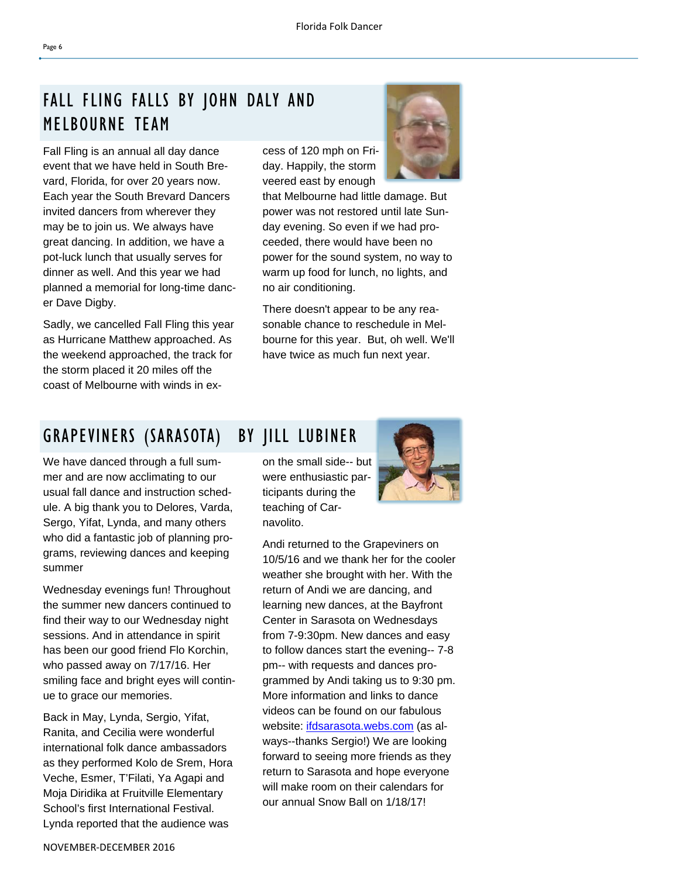### FALL FLING FALLS BY JOHN DALY AND MELBOURNE TEAM

Fall Fling is an annual all day dance event that we have held in South Brevard, Florida, for over 20 years now. Each year the South Brevard Dancers invited dancers from wherever they may be to join us. We always have great dancing. In addition, we have a pot-luck lunch that usually serves for dinner as well. And this year we had planned a memorial for long-time dancer Dave Digby.

Sadly, we cancelled Fall Fling this year as Hurricane Matthew approached. As the weekend approached, the track for the storm placed it 20 miles off the coast of Melbourne with winds in excess of 120 mph on Friday. Happily, the storm veered east by enough

that Melbourne had little damage. But power was not restored until late Sunday evening. So even if we had proceeded, there would have been no power for the sound system, no way to warm up food for lunch, no lights, and no air conditioning.

There doesn't appear to be any reasonable chance to reschedule in Melbourne for this year. But, oh well. We'll have twice as much fun next year.

### GRAPEVINERS (SARASOTA) BY JILL LUBINER

We have danced through a full summer and are now acclimating to our usual fall dance and instruction schedule. A big thank you to Delores, Varda, Sergo, Yifat, Lynda, and many others who did a fantastic job of planning programs, reviewing dances and keeping summer

Wednesday evenings fun! Throughout the summer new dancers continued to find their way to our Wednesday night sessions. And in attendance in spirit has been our good friend Flo Korchin, who passed away on 7/17/16. Her smiling face and bright eyes will continue to grace our memories.

Back in May, Lynda, Sergio, Yifat, Ranita, and Cecilia were wonderful international folk dance ambassadors as they performed Kolo de Srem, Hora Veche, Esmer, T'Filati, Ya Agapi and Moja Diridika at Fruitville Elementary School's first International Festival. Lynda reported that the audience was

on the small side-- but were enthusiastic participants during the teaching of Carnavolito.

Andi returned to the Grapeviners on 10/5/16 and we thank her for the cooler weather she brought with her. With the return of Andi we are dancing, and learning new dances, at the Bayfront Center in Sarasota on Wednesdays from 7-9:30pm. New dances and easy to follow dances start the evening-- 7-8 pm-- with requests and dances programmed by Andi taking us to 9:30 pm. More information and links to dance videos can be found on our fabulous website: ifdsarasota.webs.com (as always--thanks Sergio!) We are looking forward to seeing more friends as they return to Sarasota and hope everyone will make room on their calendars for

our annual Snow Ball on 1/18/17!



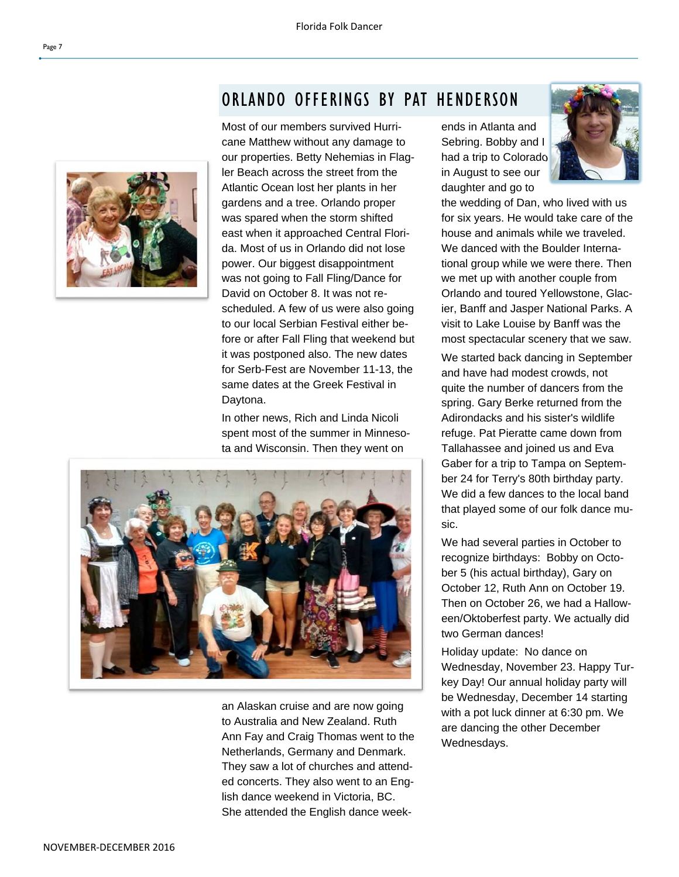

#### ORLANDO OFFERINGS BY PAT HENDERSON

Most of our members survived Hurricane Matthew without any damage to our properties. Betty Nehemias in Flagler Beach across the street from the Atlantic Ocean lost her plants in her gardens and a tree. Orlando proper was spared when the storm shifted east when it approached Central Florida. Most of us in Orlando did not lose power. Our biggest disappointment was not going to Fall Fling/Dance for David on October 8. It was not rescheduled. A few of us were also going to our local Serbian Festival either before or after Fall Fling that weekend but it was postponed also. The new dates for Serb-Fest are November 11-13, the same dates at the Greek Festival in Daytona.

In other news, Rich and Linda Nicoli spent most of the summer in Minnesota and Wisconsin. Then they went on



an Alaskan cruise and are now going to Australia and New Zealand. Ruth Ann Fay and Craig Thomas went to the Netherlands, Germany and Denmark. They saw a lot of churches and attended concerts. They also went to an English dance weekend in Victoria, BC. She attended the English dance weekends in Atlanta and Sebring. Bobby and I had a trip to Colorado in August to see our daughter and go to



the wedding of Dan, who lived with us for six years. He would take care of the house and animals while we traveled. We danced with the Boulder International group while we were there. Then we met up with another couple from Orlando and toured Yellowstone, Glacier, Banff and Jasper National Parks. A visit to Lake Louise by Banff was the most spectacular scenery that we saw. We started back dancing in September

and have had modest crowds, not quite the number of dancers from the spring. Gary Berke returned from the Adirondacks and his sister's wildlife refuge. Pat Pieratte came down from Tallahassee and joined us and Eva Gaber for a trip to Tampa on September 24 for Terry's 80th birthday party. We did a few dances to the local band that played some of our folk dance music.

We had several parties in October to recognize birthdays: Bobby on October 5 (his actual birthday), Gary on October 12, Ruth Ann on October 19. Then on October 26, we had a Halloween/Oktoberfest party. We actually did two German dances!

Holiday update: No dance on Wednesday, November 23. Happy Turkey Day! Our annual holiday party will be Wednesday, December 14 starting with a pot luck dinner at 6:30 pm. We are dancing the other December Wednesdays.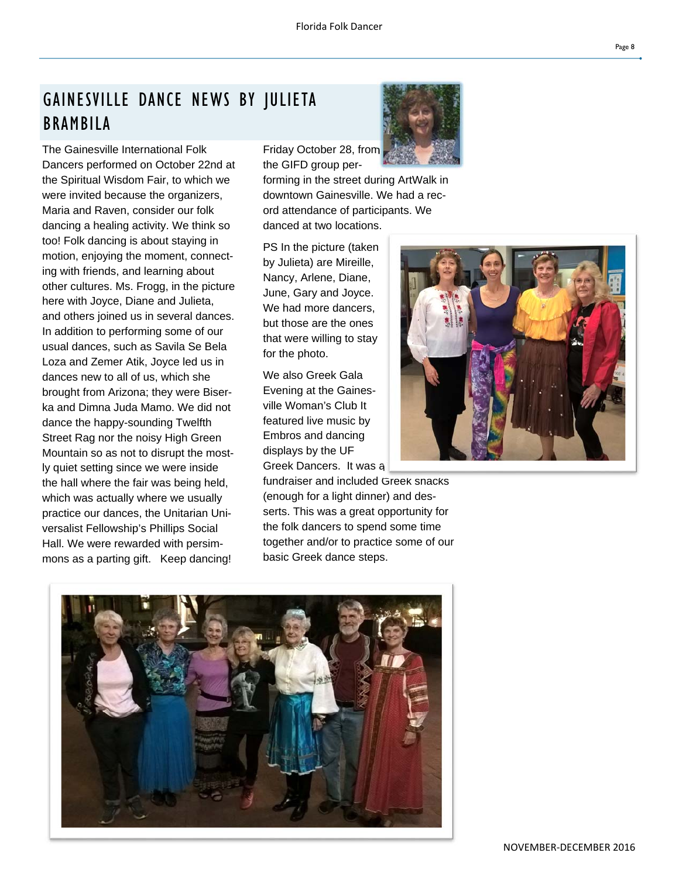The Gainesville International Folk Dancers performed on October 22nd at the Spiritual Wisdom Fair, to which we were invited because the organizers, Maria and Raven, consider our folk dancing a healing activity. We think so too! Folk dancing is about staying in motion, enjoying the moment, connecting with friends, and learning about other cultures. Ms. Frogg, in the picture here with Joyce, Diane and Julieta, and others joined us in several dances. In addition to performing some of our usual dances, such as Savila Se Bela Loza and Zemer Atik, Joyce led us in dances new to all of us, which she brought from Arizona; they were Biserka and Dimna Juda Mamo. We did not dance the happy-sounding Twelfth Street Rag nor the noisy High Green Mountain so as not to disrupt the mostly quiet setting since we were inside the hall where the fair was being held, which was actually where we usually practice our dances, the Unitarian Universalist Fellowship's Phillips Social Hall. We were rewarded with persimmons as a parting gift. Keep dancing!

Friday October 28, from the GIFD group per-

forming in the street during ArtWalk in downtown Gainesville. We had a record attendance of participants. We danced at two locations.

PS In the picture (taken by Julieta) are Mireille, Nancy, Arlene, Diane, June, Gary and Joyce. We had more dancers. but those are the ones that were willing to stay for the photo.

We also Greek Gala Evening at the Gainesville Woman's Club It featured live music by Embros and dancing displays by the UF Greek Dancers. It was a

fundraiser and included Greek snacks (enough for a light dinner) and desserts. This was a great opportunity for the folk dancers to spend some time together and/or to practice some of our basic Greek dance steps.





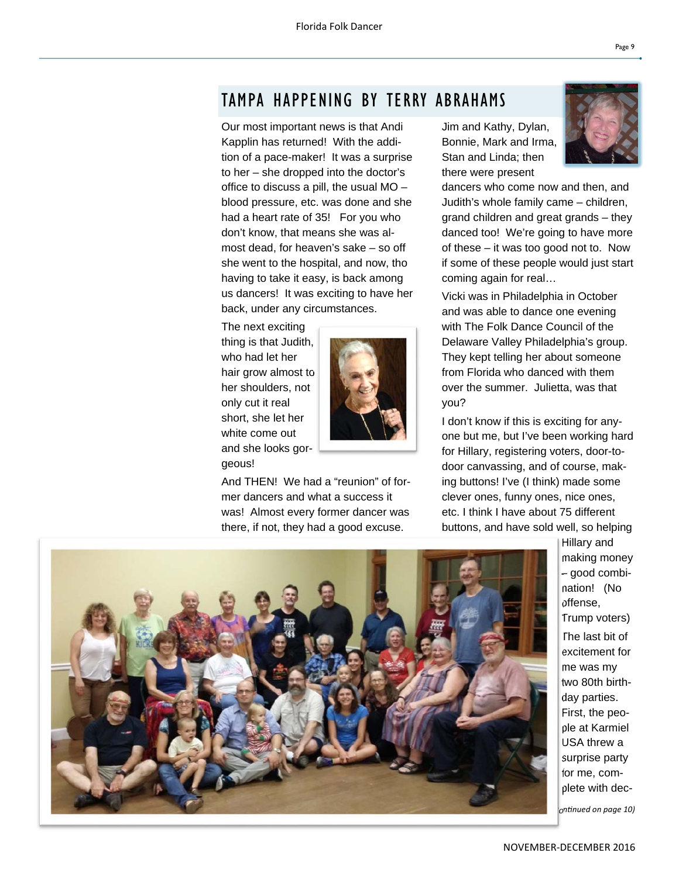#### TAMPA HAPPENING BY TERRY ABRAHAMS

Our most important news is that Andi Kapplin has returned! With the addition of a pace-maker! It was a surprise to her – she dropped into the doctor's office to discuss a pill, the usual MO – blood pressure, etc. was done and she had a heart rate of 35! For you who don't know, that means she was almost dead, for heaven's sake – so off she went to the hospital, and now, tho having to take it easy, is back among us dancers! It was exciting to have her back, under any circumstances.

The next exciting thing is that Judith, who had let her hair grow almost to

her shoulders, not only cut it real short, she let her white come out

and she looks gorgeous! And THEN! We had a "reunion" of former dancers and what a success it was! Almost every former dancer was

there, if not, they had a good excuse.

Jim and Kathy, Dylan, Bonnie, Mark and Irma, Stan and Linda; then there were present

dancers who come now and then, and Judith's whole family came – children, grand children and great grands – they danced too! We're going to have more of these – it was too good not to. Now if some of these people would just start coming again for real…

Vicki was in Philadelphia in October and was able to dance one evening with The Folk Dance Council of the Delaware Valley Philadelphia's group. They kept telling her about someone from Florida who danced with them over the summer. Julietta, was that you?

I don't know if this is exciting for anyone but me, but I've been working hard for Hillary, registering voters, door-todoor canvassing, and of course, making buttons! I've (I think) made some clever ones, funny ones, nice ones, etc. I think I have about 75 different buttons, and have sold well, so helping

> Hillary and making money – good combination! (No offense, Trump voters) The last bit of excitement for me was my two 80th birthday parties. First, the people at Karmiel USA threw a surprise party for me, complete with dec- *(ConƟnued on page 10)*





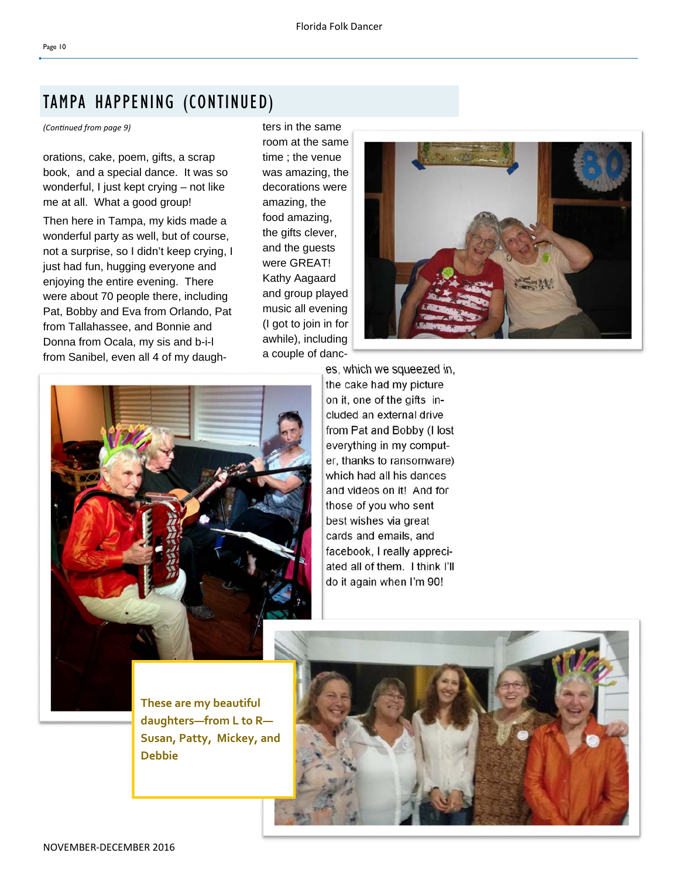### TAMPA HAPPENING (CONTINUED)

orations, cake, poem, gifts, a scrap book, and a special dance. It was so wonderful, I just kept crying – not like me at all. What a good group!

Then here in Tampa, my kids made a wonderful party as well, but of course, not a surprise, so I didn't keep crying, I just had fun, hugging everyone and enjoying the entire evening. There were about 70 people there, including Pat, Bobby and Eva from Orlando, Pat from Tallahassee, and Bonnie and Donna from Ocala, my sis and b-i-l from Sanibel, even all 4 of my daugh-

*(ConƟnued from page 9)* ters in the same room at the same time ; the venue was amazing, the decorations were amazing, the food amazing, the gifts clever, and the guests were GREAT! Kathy Aagaard and group played music all evening (I got to join in for awhile), including a couple of danc-





es, which we squeezed in, the cake had my picture on it, one of the gifts included an external drive from Pat and Bobby (I lost everything in my computer, thanks to ransomware) which had all his dances and videos on it! And for those of you who sent best wishes via great cards and emails, and facebook, I really appreciated all of them. I think I'll do it again when I'm 90!

**These are my beautiful daughters—from L to R— Susan, Patty, Mickey, and Debbie** 

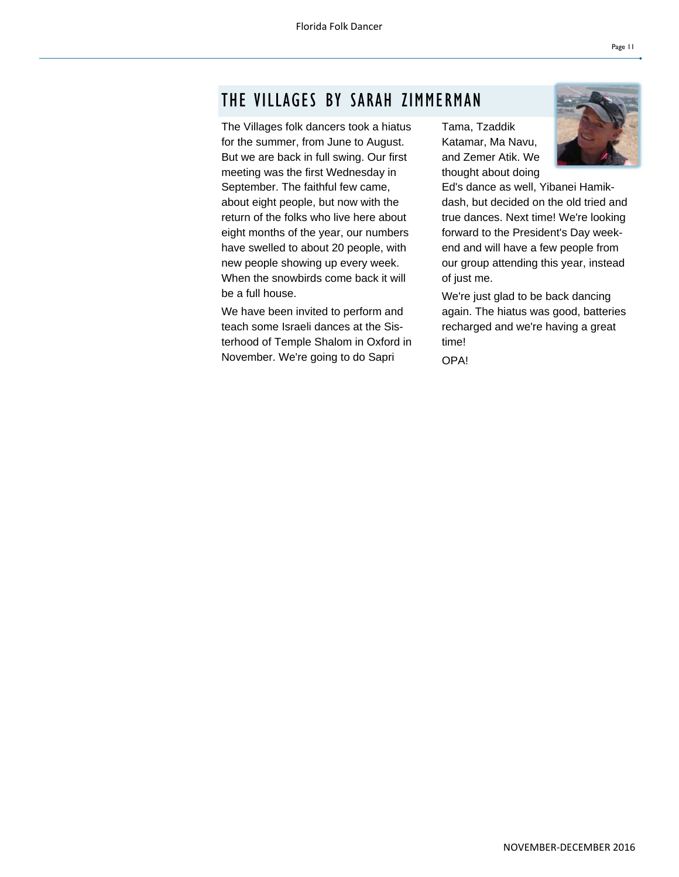#### THE VILLAGES BY SARAH ZIMMERMAN

The Villages folk dancers took a hiatus for the summer, from June to August. But we are back in full swing. Our first meeting was the first Wednesday in September. The faithful few came, about eight people, but now with the return of the folks who live here about eight months of the year, our numbers have swelled to about 20 people, with new people showing up every week. When the snowbirds come back it will be a full house.

We have been invited to perform and teach some Israeli dances at the Sisterhood of Temple Shalom in Oxford in November. We're going to do Sapri

Tama, Tzaddik Katamar, Ma Navu, and Zemer Atik. We thought about doing

Ed's dance as well, Yibanei Hamikdash, but decided on the old tried and true dances. Next time! We're looking forward to the President's Day weekend and will have a few people from our group attending this year, instead of just me.

We're just glad to be back dancing again. The hiatus was good, batteries recharged and we're having a great time!

OPA!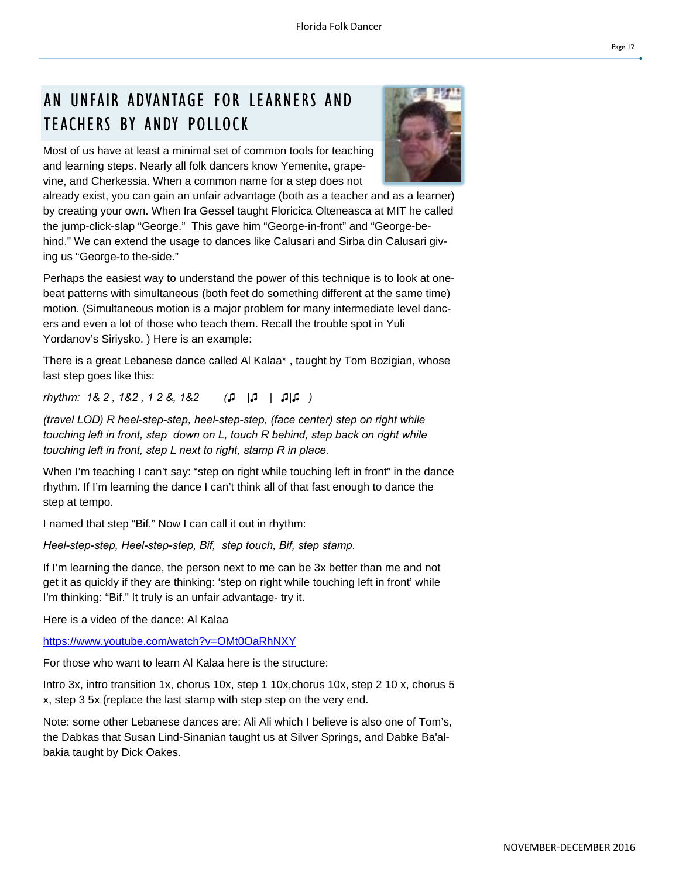# AN UNFAIR ADVANTAGE FOR LEARNERS AND TEACHERS BY ANDY POLLOCK



Most of us have at least a minimal set of common tools for teaching and learning steps. Nearly all folk dancers know Yemenite, grapevine, and Cherkessia. When a common name for a step does not

already exist, you can gain an unfair advantage (both as a teacher and as a learner) by creating your own. When Ira Gessel taught Floricica Olteneasca at MIT he called the jump-click-slap "George." This gave him "George-in-front" and "George-behind." We can extend the usage to dances like Calusari and Sirba din Calusari giving us "George-to the-side."

Perhaps the easiest way to understand the power of this technique is to look at onebeat patterns with simultaneous (both feet do something different at the same time) motion. (Simultaneous motion is a major problem for many intermediate level dancers and even a lot of those who teach them. Recall the trouble spot in Yuli Yordanov's Siriysko. ) Here is an example:

There is a great Lebanese dance called Al Kalaa\* , taught by Tom Bozigian, whose last step goes like this:

*rhythm: 1& 2 , 1&2 , 1 2 &, 1&2 (♫ |♫ |♫|♫)* 

*(travel LOD) R heel-step-step, heel-step-step, (face center) step on right while touching left in front, step down on L, touch R behind, step back on right while touching left in front, step L next to right, stamp R in place.* 

When I'm teaching I can't say: "step on right while touching left in front" in the dance rhythm. If I'm learning the dance I can't think all of that fast enough to dance the step at tempo.

I named that step "Bif." Now I can call it out in rhythm:

*Heel-step-step, Heel-step-step, Bif, step touch, Bif, step stamp.* 

If I'm learning the dance, the person next to me can be 3x better than me and not get it as quickly if they are thinking: 'step on right while touching left in front' while I'm thinking: "Bif." It truly is an unfair advantage- try it.

Here is a video of the dance: Al Kalaa

https://www.youtube.com/watch?v=OMt0OaRhNXY

For those who want to learn Al Kalaa here is the structure:

Intro 3x, intro transition 1x, chorus 10x, step 1 10x,chorus 10x, step 2 10 x, chorus 5 x, step 3 5x (replace the last stamp with step step on the very end.

Note: some other Lebanese dances are: Ali Ali which I believe is also one of Tom's, the Dabkas that Susan Lind-Sinanian taught us at Silver Springs, and Dabke Ba'albakia taught by Dick Oakes.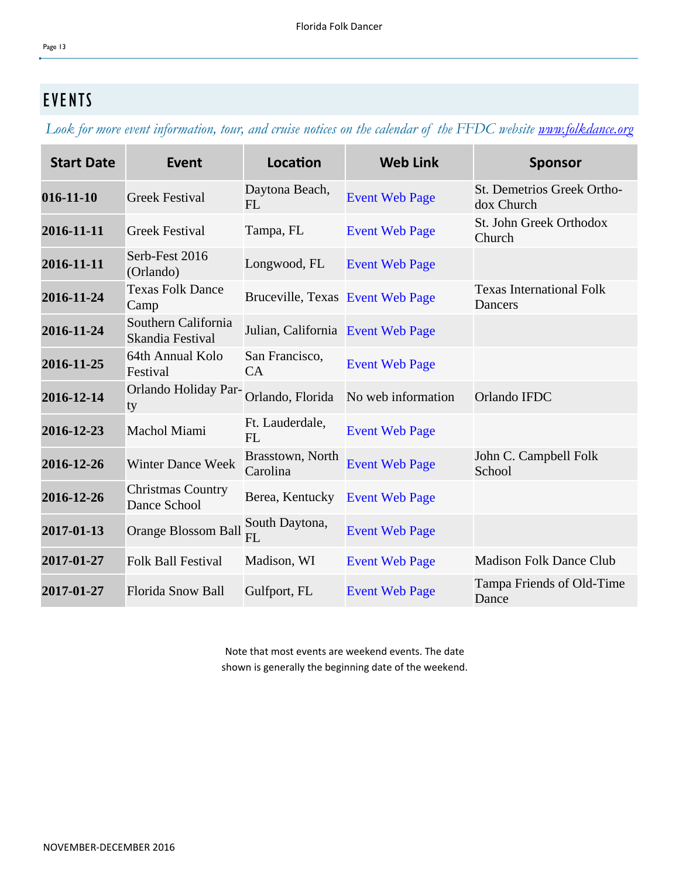# EVENTS

*Look for more event information, tour, and cruise notices on the calendar of the FFDC website www.folkdance.org*

| <b>Start Date</b> | Event                                    | Location                          | <b>Web Link</b>       | <b>Sponsor</b>                             |
|-------------------|------------------------------------------|-----------------------------------|-----------------------|--------------------------------------------|
| $016 - 11 - 10$   | <b>Greek Festival</b>                    | Daytona Beach,<br><b>FL</b>       | <b>Event Web Page</b> | St. Demetrios Greek Ortho-<br>dox Church   |
| 2016-11-11        | <b>Greek Festival</b>                    | Tampa, FL                         | <b>Event Web Page</b> | St. John Greek Orthodox<br>Church          |
| 2016-11-11        | Serb-Fest 2016<br>(Orlando)              | Longwood, FL                      | <b>Event Web Page</b> |                                            |
| 2016-11-24        | <b>Texas Folk Dance</b><br>Camp          | Bruceville, Texas Event Web Page  |                       | <b>Texas International Folk</b><br>Dancers |
| 2016-11-24        | Southern California<br>Skandia Festival  | Julian, California Event Web Page |                       |                                            |
| 2016-11-25        | 64th Annual Kolo<br>Festival             | San Francisco,<br>CA              | <b>Event Web Page</b> |                                            |
| 2016-12-14        | Orlando Holiday Par-<br>ty               | Orlando, Florida                  | No web information    | Orlando IFDC                               |
| 2016-12-23        | Machol Miami                             | Ft. Lauderdale,<br><b>FL</b>      | <b>Event Web Page</b> |                                            |
| 2016-12-26        | <b>Winter Dance Week</b>                 | Brasstown, North<br>Carolina      | <b>Event Web Page</b> | John C. Campbell Folk<br>School            |
| 2016-12-26        | <b>Christmas Country</b><br>Dance School | Berea, Kentucky                   | <b>Event Web Page</b> |                                            |
| 2017-01-13        | <b>Orange Blossom Ball</b>               | South Daytona,<br><b>FL</b>       | <b>Event Web Page</b> |                                            |
| 2017-01-27        | <b>Folk Ball Festival</b>                | Madison, WI                       | <b>Event Web Page</b> | <b>Madison Folk Dance Club</b>             |
| 2017-01-27        | <b>Florida Snow Ball</b>                 | Gulfport, FL                      | <b>Event Web Page</b> | Tampa Friends of Old-Time<br>Dance         |

Note that most events are weekend events. The date shown is generally the beginning date of the weekend.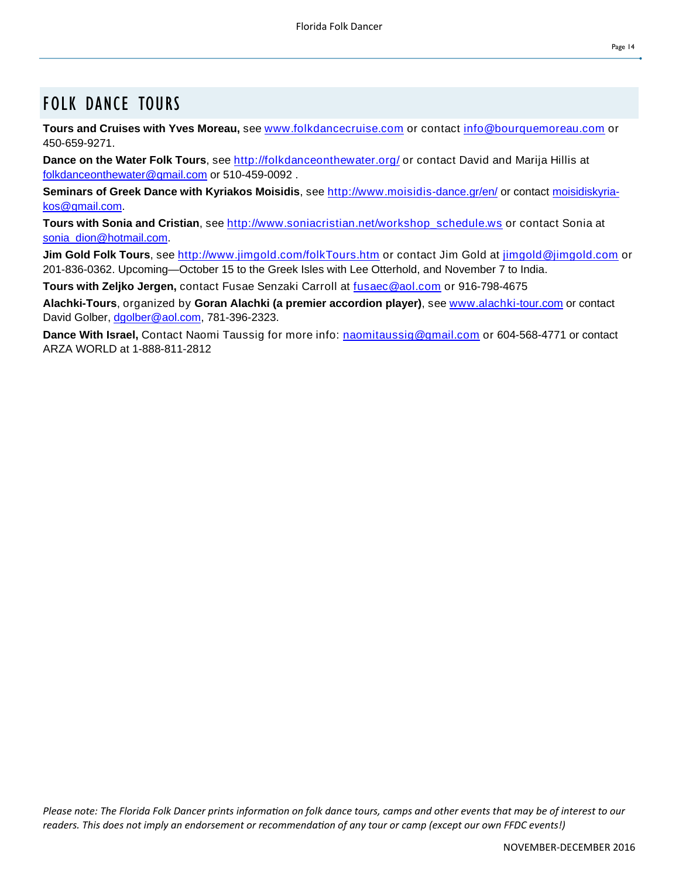## FOLK DANCE TOURS

**Tours and Cruises with Yves Moreau,** see www.folkdancecruise.com or contact info@bourquemoreau.com or 450-659-9271.

**Dance on the Water Folk Tours**, see http://folkdanceonthewater.org/ or contact David and Marija Hillis at folkdanceonthewater@gmail.com or 510-459-0092 .

**Seminars of Greek Dance with Kyriakos Moisidis**, see http://www.moisidis-dance.gr/en/ or contact moisidiskyriakos@gmail.com.

**Tours with Sonia and Cristian**, see http://www.soniacristian.net/workshop\_schedule.ws or contact Sonia at sonia\_dion@hotmail.com.

**Jim Gold Folk Tours**, see http://www.jimgold.com/folkTours.htm or contact Jim Gold at jimgold@jimgold.com or 201-836-0362. Upcoming—October 15 to the Greek Isles with Lee Otterhold, and November 7 to India.

**Tours with Zeljko Jergen,** contact Fusae Senzaki Carroll at fusaec@aol.com or 916-798-4675

**Alachki-Tours**, organized by **Goran Alachki (a premier accordion player)**, see www.alachki-tour.com or contact David Golber, dgolber@aol.com, 781-396-2323.

**Dance With Israel,** Contact Naomi Taussig for more info: naomitaussig@gmail.com or 604-568-4771 or contact ARZA WORLD at 1-888-811-2812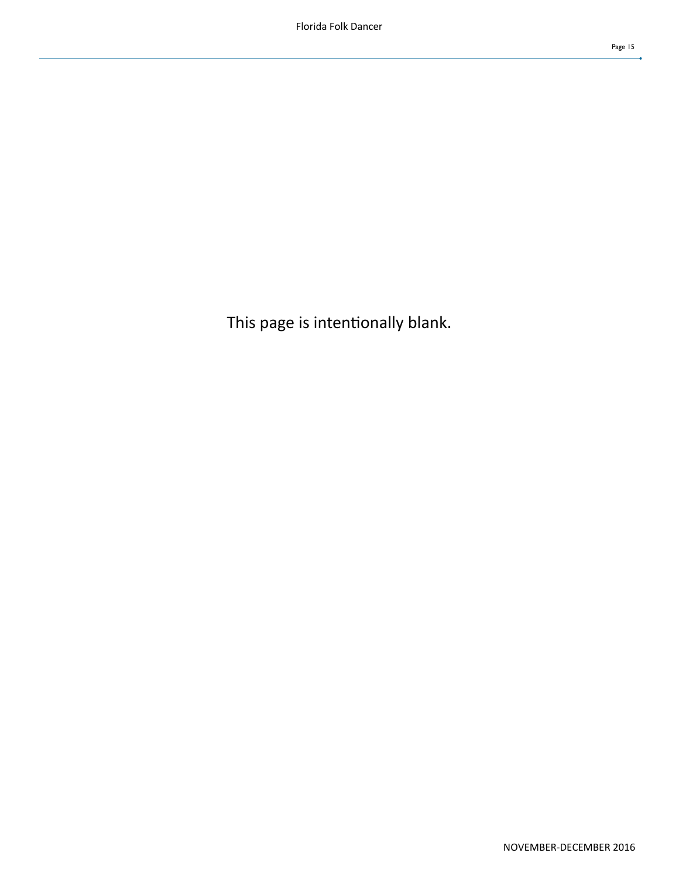This page is intentionally blank.